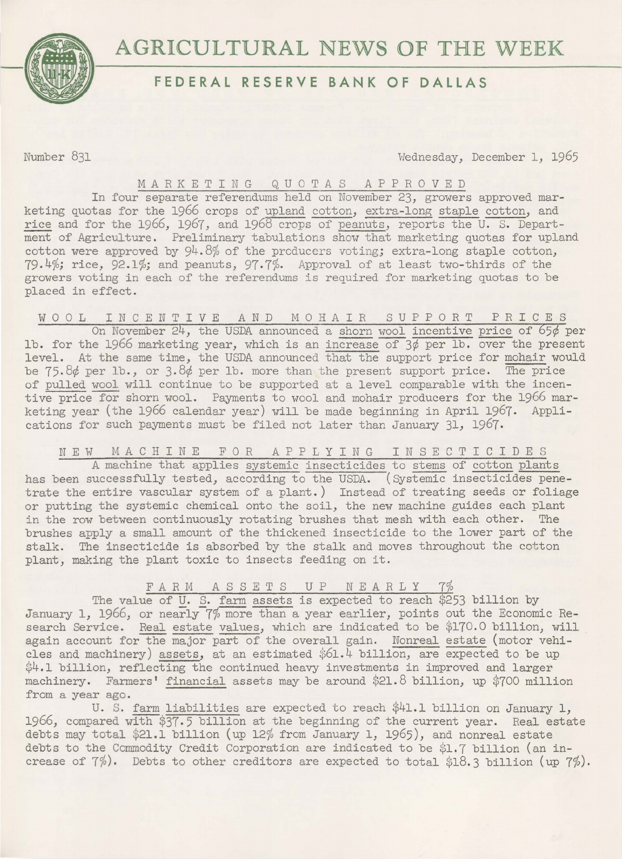

# **AGRICULTURAL NEWS OF THE WEEK**

# **FEDERAL RESERVE BANK OF DALLAS**

Number 831 Wednesday, December 1, 1965

# MARKETING QUOTAS APPROVED

In four separate referendums held on November 23, growers approved marketing quotas for the 1966 crops of upland cotton, extra-long staple cotton, and rice and for the 1966, 1967, and 1968 crops of peanuts, reports the U. S. Department of Agriculture. Preliminary tabulations show that marketing quotas for upland cotton were approved by 94.8% of the prcducers voting; extra-long staple cotton, 79.4%; rice, 92.1%; and peanuts, 97.7%. Approval of at least two-thirds of the growers voting in each of the referendums is required for marketing quotas to be placed in effect.

WOOL INCENTIVE AND MOHAIR SUPPORT PRICES On November 24, the USDA announced a shorn wool incentive price of 65¢ per lb. for the 1966 marketing year, which is an increase of  $3\phi$  per lb. over the present level. At the same time, the USDA announced that the support price for mohair would be  $75.8d$  per lb., or  $3.8d$  per lb. more than the present support price. The price of pulled wool will continue to be supported at a level comparable with the incentive price for shorn wool. Payments to wool and mohair producers for the 1966 mar-

## NEW MACHINE FOR APPLYING INSECTICIDES

keting year (the 1966 calendar year) will be made beginning in April 1967. Appli-

cations for such payments must be filed not later than January 31, 1967.

A machine that applies systemic insecticides to stems of cotton plants has been successfully tested, according to the USDA. (Systemic insecticides penetrate the entire vascular system of a plant.) Instead of treating seeds or foliage or putting the systemic chemical onto the soil, the new machine guides each plant in the row between continuously rotating brushes that mesh with each other. The brushes apply a small amount of the thickened insecticide to the lower part of the stalk. The insecticide is absorbed by the stalk and moves throughout the cotton plant, making the plant toxic to insects feeding on it.

### FARM ASSETS UP NEARLY 7%

The value of U. S. farm assets is expected to reach \$253 billion by January 1, 1966, or nearly 7% more than a year earlier, points out the Economic Research Service. Real estate values, which are indicated to be \$170.0 billion, will again account for the major part of the overall gain. Nonreal estate (motor vehicles and machinery) assets, at an estimated \$61.4 billion, are expected to be up \$4.1 billion, reflecting the continued heavy investments in improved and larger machinery. Farmers' financial assets may be around \$21.8 billion, up \$700 million from a year ago.

U. S. farm liabilities are expected to reach \$41.1 billion on January 1, 1966, compared with \$37·5 billion at the beginning of the current year. Real estate debts may total \$21.1 billion (up 12% from January 1, 1965), and nonreal estate debts to the Commodity Credit Corporation are indicated to be \$1.7 billion (an increase of  $7\%)$ . Debts to other creditors are expected to total \$18.3 billion (up  $7\%$ ).